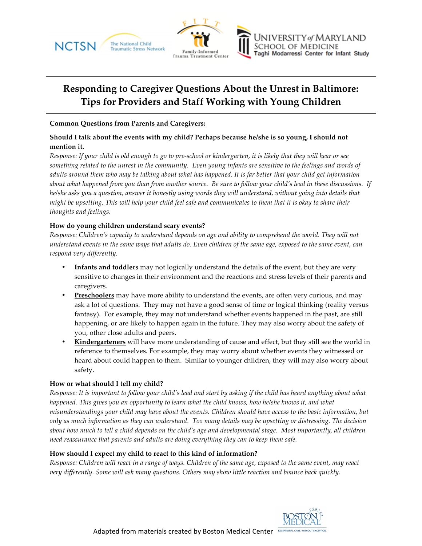





# **Responding to Caregiver Questions About the Unrest in Baltimore: Tips for Providers and Staff Working with Young Children**

#### **Common Questions from Parents and Caregivers:**

# **Should I talk about the events with my child? Perhaps because he/she is so young, I should not mention it.**

*Response: If your child is old enough to go to pre-school or kindergarten, it is likely that they will hear or see something related to the unrest in the community. Even young infants are sensitive to the feelings and words of adults around them who may be talking about what has happened. It is far better that your child get information about what happened from you than from another source. Be sure to follow your child's lead in these discussions. If he/she asks you a question, answer it honestly using words they will understand, without going into details that might be upsetting. This will help your child feel safe and communicates to them that it is okay to share their thoughts and feelings.*

# **How do young children understand scary events?**

*Response: Children's capacity to understand depends on age and ability to comprehend the world. They will not understand events in the same ways that adults do. Even children of the same age, exposed to the same event, can respond very differently.* 

- **Infants and toddlers** may not logically understand the details of the event, but they are very sensitive to changes in their environment and the reactions and stress levels of their parents and caregivers.
- **Preschoolers** may have more ability to understand the events, are often very curious, and may ask a lot of questions. They may not have a good sense of time or logical thinking (reality versus fantasy). For example, they may not understand whether events happened in the past, are still happening, or are likely to happen again in the future. They may also worry about the safety of you, other close adults and peers.
- **Kindergarteners** will have more understanding of cause and effect, but they still see the world in reference to themselves. For example, they may worry about whether events they witnessed or heard about could happen to them. Similar to younger children, they will may also worry about safety.

# **How or what should I tell my child?**

*Response: It is important to follow your child's lead and start by asking if the child has heard anything about what happened. This gives you an opportunity to learn what the child knows, how he/she knows it, and what misunderstandings your child may have about the events. Children should have access to the basic information, but only as much information as they can understand. Too many details may be upsetting or distressing. The decision about how much to tell a child depends on the child's age and developmental stage. Most importantly, all children need reassurance that parents and adults are doing everything they can to keep them safe.* 

# **How should I expect my child to react to this kind of information?**

*Response: Children will react in a range of ways. Children of the same age, exposed to the same event, may react very differently. Some will ask many questions. Others may show little reaction and bounce back quickly.*